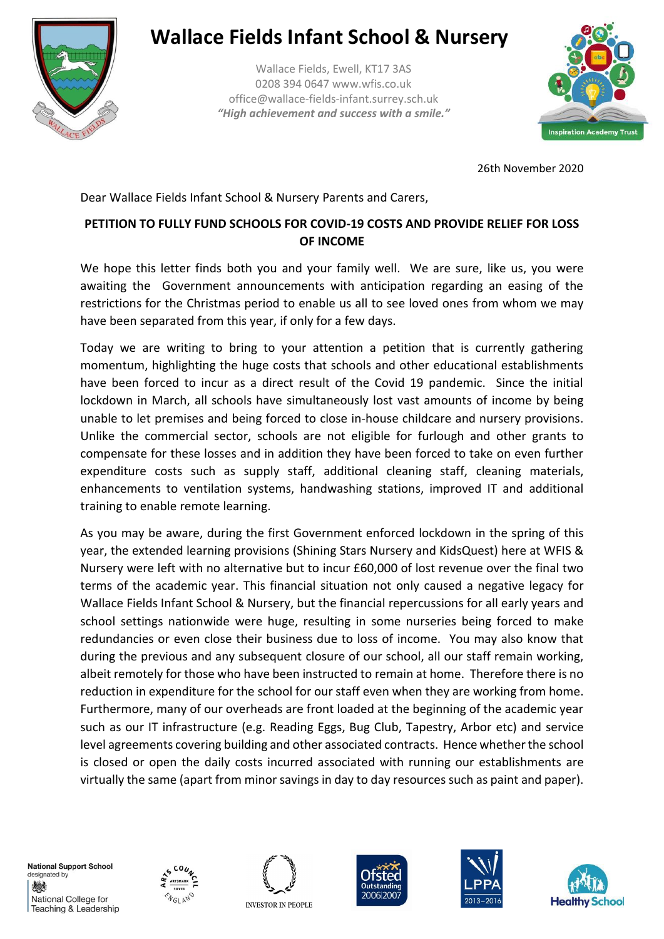

## **Wallace Fields Infant School & Nursery**

Wallace Fields, Ewell, KT17 3AS 0208 394 0647 www.wfis.co.uk office@wallace-fields-infant.surrey.sch.uk *"High achievement and success with a smile."*



26th November 2020

Dear Wallace Fields Infant School & Nursery Parents and Carers,

## **PETITION TO FULLY FUND SCHOOLS FOR COVID-19 COSTS AND PROVIDE RELIEF FOR LOSS OF INCOME**

We hope this letter finds both you and your family well. We are sure, like us, you were awaiting the Government announcements with anticipation regarding an easing of the restrictions for the Christmas period to enable us all to see loved ones from whom we may have been separated from this year, if only for a few days.

Today we are writing to bring to your attention a petition that is currently gathering momentum, highlighting the huge costs that schools and other educational establishments have been forced to incur as a direct result of the Covid 19 pandemic. Since the initial lockdown in March, all schools have simultaneously lost vast amounts of income by being unable to let premises and being forced to close in-house childcare and nursery provisions. Unlike the commercial sector, schools are not eligible for furlough and other grants to compensate for these losses and in addition they have been forced to take on even further expenditure costs such as supply staff, additional cleaning staff, cleaning materials, enhancements to ventilation systems, handwashing stations, improved IT and additional training to enable remote learning.

As you may be aware, during the first Government enforced lockdown in the spring of this year, the extended learning provisions (Shining Stars Nursery and KidsQuest) here at WFIS & Nursery were left with no alternative but to incur £60,000 of lost revenue over the final two terms of the academic year. This financial situation not only caused a negative legacy for Wallace Fields Infant School & Nursery, but the financial repercussions for all early years and school settings nationwide were huge, resulting in some nurseries being forced to make redundancies or even close their business due to loss of income. You may also know that during the previous and any subsequent closure of our school, all our staff remain working, albeit remotely for those who have been instructed to remain at home. Therefore there is no reduction in expenditure for the school for our staff even when they are working from home. Furthermore, many of our overheads are front loaded at the beginning of the academic year such as our IT infrastructure (e.g. Reading Eggs, Bug Club, Tapestry, Arbor etc) and service level agreements covering building and other associated contracts. Hence whether the school is closed or open the daily costs incurred associated with running our establishments are virtually the same (apart from minor savings in day to day resources such as paint and paper).

**National Support School** designated by 燃 National College for Teaching & Leadership